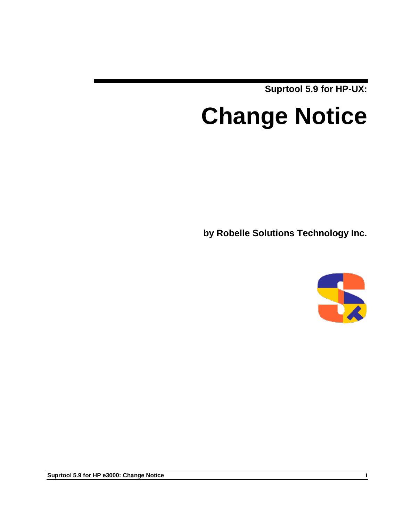**Suprtool 5.9 for HP-UX:**

# **Change Notice**

**by Robelle Solutions Technology Inc.**



**Suprtool 5.9 for HP e3000: Change Notice i**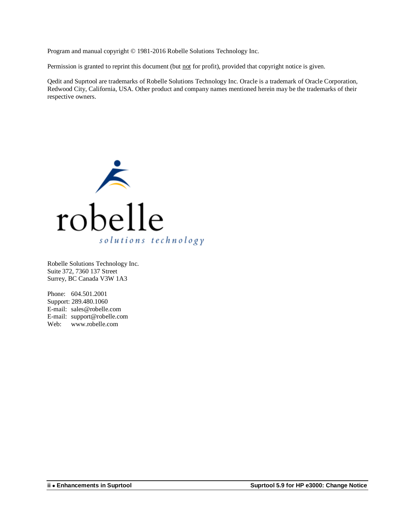Program and manual copyright © 1981-2016 Robelle Solutions Technology Inc.

Permission is granted to reprint this document (but not for profit), provided that copyright notice is given.

Qedit and Suprtool are trademarks of Robelle Solutions Technology Inc. Oracle is a trademark of Oracle Corporation, Redwood City, California, USA. Other product and company names mentioned herein may be the trademarks of their respective owners.



Robelle Solutions Technology Inc. Suite 372, 7360 137 Street Surrey, BC Canada V3W 1A3

Phone: 604.501.2001 Support: 289.480.1060 E-mail: sales@robelle.com E-mail: support@robelle.com Web: www.robelle.com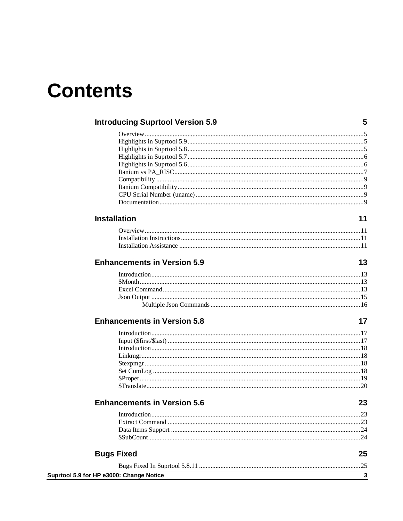## **Contents**

| <b>Introducing Suprtool Version 5.9</b>  | 5  |
|------------------------------------------|----|
|                                          |    |
|                                          |    |
|                                          |    |
|                                          |    |
|                                          |    |
|                                          |    |
|                                          |    |
|                                          |    |
|                                          |    |
|                                          |    |
| <b>Installation</b>                      | 11 |
|                                          |    |
|                                          |    |
|                                          |    |
| <b>Enhancements in Version 5.9</b>       | 13 |
|                                          |    |
|                                          |    |
|                                          |    |
|                                          |    |
|                                          |    |
| <b>Enhancements in Version 5.8</b>       | 17 |
|                                          |    |
|                                          |    |
|                                          |    |
|                                          |    |
|                                          |    |
|                                          |    |
|                                          |    |
|                                          |    |
| <b>Enhancements in Version 5.6</b>       | 23 |
|                                          |    |
|                                          |    |
|                                          |    |
|                                          |    |
| <b>Bugs Fixed</b>                        | 25 |
|                                          |    |
| Suprtool 5.9 for HP e3000: Change Notice | 3  |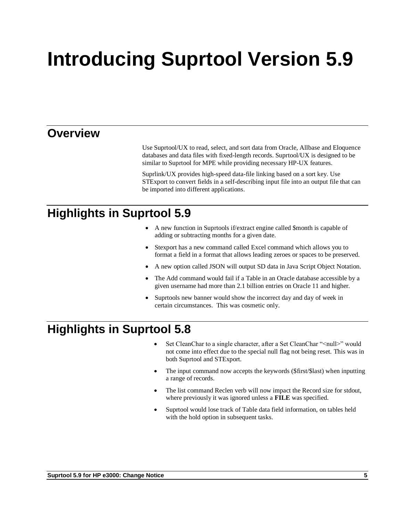# **Introducing Suprtool Version 5.9**

## **Overview**

Use Suprtool/UX to read, select, and sort data from Oracle, Allbase and Eloquence databases and data files with fixed-length records. Suprtool/UX is designed to be similar to Suprtool for MPE while providing necessary HP-UX features.

Suprlink/UX provides high-speed data-file linking based on a sort key. Use STExport to convert fields in a self-describing input file into an output file that can be imported into different applications.

## **Highlights in Suprtool 5.9**

- A new function in Suprtools if/extract engine called \$month is capable of adding or subtracting months for a given date.
- Stexport has a new command called Excel command which allows you to format a field in a format that allows leading zeroes or spaces to be preserved.
- A new option called JSON will output SD data in Java Script Object Notation.
- The Add command would fail if a Table in an Oracle database accessible by a given username had more than 2.1 billion entries on Oracle 11 and higher.
- Suprtools new banner would show the incorrect day and day of week in certain circumstances. This was cosmetic only.

## **Highlights in Suprtool 5.8**

- Set CleanChar to a single character, after a Set CleanChar "<null>" would not come into effect due to the special null flag not being reset. This was in both Suprtool and STExport.
- The input command now accepts the keywords (\$first/\$last) when inputting a range of records.
- The list command Reclen verb will now impact the Record size for stdout, where previously it was ignored unless a **FILE** was specified.
- Suprtool would lose track of Table data field information, on tables held with the hold option in subsequent tasks.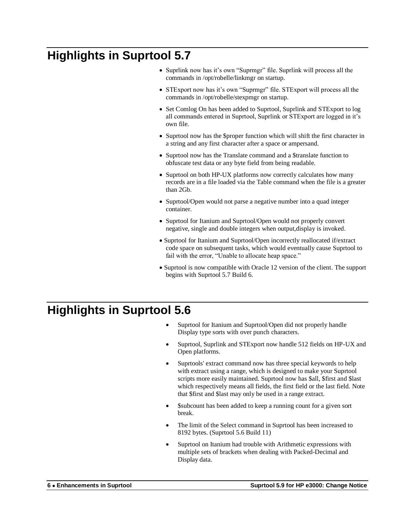## **Highlights in Suprtool 5.7**

- Suprlink now has it's own "Suprmgr" file. Suprlink will process all the commands in /opt/robelle/linkmgr on startup.
- STExport now has it's own "Suprmgr" file. STExport will process all the commands in /opt/robelle/stexpmgr on startup.
- Set Comlog On has been added to Suprtool, Suprlink and STExport to log all commands entered in Suprtool, Suprlink or STExport are logged in it's own file.
- Suprtool now has the \$proper function which will shift the first character in a string and any first character after a space or ampersand.
- Suprtool now has the Translate command and a \$translate function to obfuscate test data or any byte field from being readable.
- Suprtool on both HP-UX platforms now correctly calculates how many records are in a file loaded via the Table command when the file is a greater than 2Gb.
- Suprtool/Open would not parse a negative number into a quad integer container.
- Suprtool for Itanium and Suprtool/Open would not properly convert negative, single and double integers when output,display is invoked.
- Suprtool for Itanium and Suprtool/Open incorrectly reallocated if/extract code space on subsequent tasks, which would eventually cause Suprtool to fail with the error, "Unable to allocate heap space."
- Suprtool is now compatible with Oracle 12 version of the client. The support begins with Suprtool 5.7 Build 6.

## **Highlights in Suprtool 5.6**

- Suprtool for Itanium and Suprtool/Open did not properly handle Display type sorts with over punch characters.
- Suprtool, Suprlink and STExport now handle 512 fields on HP-UX and Open platforms.
- Suprtools' extract command now has three special keywords to help with extract using a range, which is designed to make your Suprtool scripts more easily maintained. Suprtool now has \$all, \$first and \$last which respectively means all fields, the first field or the last field. Note that \$first and \$last may only be used in a range extract.
- \$subcount has been added to keep a running count for a given sort break.
- The limit of the Select command in Suprtool has been increased to 8192 bytes. (Suprtool 5.6 Build 11)
- Suprtool on Itanium had trouble with Arithmetic expressions with multiple sets of brackets when dealing with Packed-Decimal and Display data.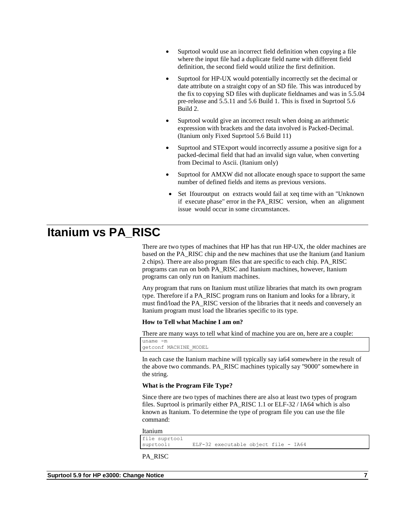- Suprtool would use an incorrect field definition when copying a file where the input file had a duplicate field name with different field definition, the second field would utilize the first definition.
- Suprtool for HP-UX would potentially incorrectly set the decimal or date attribute on a straight copy of an SD file. This was introduced by the fix to copying SD files with duplicate fieldnames and was in 5.5.04 pre-release and 5.5.11 and 5.6 Build 1. This is fixed in Suprtool 5.6 Build 2.
- Suprtool would give an incorrect result when doing an arithmetic expression with brackets and the data involved is Packed-Decimal. (Itanium only Fixed Suprtool 5.6 Build 11)
- Suprtool and STExport would incorrectly assume a positive sign for a packed-decimal field that had an invalid sign value, when converting from Decimal to Ascii. (Itanium only)
- Suprtool for AMXW did not allocate enough space to support the same number of defined fields and items as previous versions.
- Set Ifouroutput on extracts would fail at xeq time with an "Unknown if execute phase" error in the PA\_RISC version, when an alignment issue would occur in some circumstances.

## **Itanium vs PA\_RISC**

There are two types of machines that HP has that run HP-UX, the older machines are based on the PA\_RISC chip and the new machines that use the Itanium (and Itanium 2 chips). There are also program files that are specific to each chip. PA\_RISC programs can run on both PA\_RISC and Itanium machines, however, Itanium programs can only run on Itanium machines.

Any program that runs on Itanium must utilize libraries that match its own program type. Therefore if a PA\_RISC program runs on Itanium and looks for a library, it must find/load the PA\_RISC version of the libraries that it needs and conversely an Itanium program must load the libraries specific to its type.

#### **How to Tell what Machine I am on?**

There are many ways to tell what kind of machine you are on, here are a couple:

uname -m getconf MACHINE\_MODEL

In each case the Itanium machine will typically say ia64 somewhere in the result of the above two commands. PA\_RISC machines typically say "9000" somewhere in the string.

#### **What is the Program File Type?**

Since there are two types of machines there are also at least two types of program files. Suprtool is primarily either PA\_RISC 1.1 or ELF-32 / IA64 which is also known as Itanium. To determine the type of program file you can use the file command:

Itanium file suprtool<br>suprtool: ELF-32 executable object file - IA64

PA\_RISC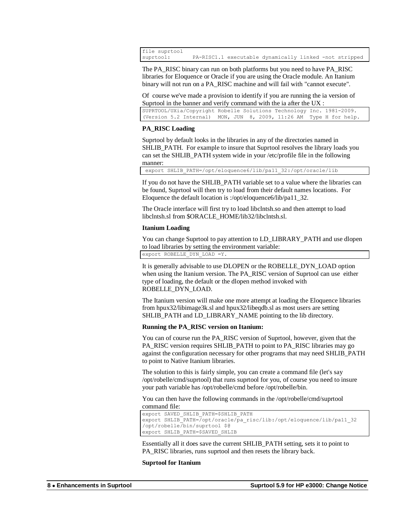file suprtool<br>suprtool: PA-RISC1.1 executable dynamically linked -not stripped

The PA\_RISC binary can run on both platforms but you need to have PA\_RISC libraries for Eloquence or Oracle if you are using the Oracle module. An Itanium binary will not run on a PA\_RISC machine and will fail with "cannot execute".

Of course we've made a provision to identify if you are running the ia version of Suprtool in the banner and verify command with the ia after the UX :

SUPRTOOL/UXia/Copyright Robelle Solutions Technology Inc. 1981-2009. (Version 5.2 Internal) MON, JUN 8, 2009, 11:26 AM Type H for help.

### **PA\_RISC Loading**

Suprtool by default looks in the libraries in any of the directories named in SHLIB PATH. For example to insure that Suprtool resolves the library loads you can set the SHLIB\_PATH system wide in your /etc/profile file in the following manner:

export SHLIB\_PATH=/opt/eloquence6/lib/pa11\_32:/opt/oracle/lib

If you do not have the SHLIB\_PATH variable set to a value where the libraries can be found, Suprtool will then try to load from their default names locations. For Eloquence the default location is :/opt/eloquence6/lib/pa11\_32.

The Oracle interface will first try to load libclntsh.so and then attempt to load libclntsh.sl from \$ORACLE\_HOME/lib32/libclntsh.sl.

#### **Itanium Loading**

You can change Suprtool to pay attention to LD\_LIBRARY\_PATH and use dlopen to load libraries by setting the environment variable:

export ROBELLE\_DYN\_LOAD =Y.

It is generally advisable to use DLOPEN or the ROBELLE\_DYN\_LOAD option when using the Itanium version. The PA\_RISC version of Suprtool can use either type of loading, the default or the dlopen method invoked with ROBELLE\_DYN\_LOAD.

The Itanium version will make one more attempt at loading the Eloquence libraries from hpux32/libimage3k.sl and hpux32/libeqdb.sl as most users are setting SHLIB\_PATH and LD\_LIBRARY\_NAME pointing to the lib directory.

#### **Running the PA\_RISC version on Itanium:**

You can of course run the PA\_RISC version of Suprtool, however, given that the PA\_RISC version requires SHLIB\_PATH to point to PA\_RISC libraries may go against the configuration necessary for other programs that may need SHLIB\_PATH to point to Native Itanium libraries.

The solution to this is fairly simple, you can create a command file (let's say /opt/robelle/cmd/suprtool) that runs suprtool for you, of course you need to insure your path variable has /opt/robelle/cmd before /opt/robelle/bin.

You can then have the following commands in the /opt/robelle/cmd/suprtool command file:

```
export SAVED_SHLIB_PATH=$SHLIB_PATH
export SHLIB_PATH=/opt/oracle/pa_risc/lib:/opt/eloquence/lib/pa11_32
/opt/robelle/bin/suprtool $@
export SHLIB_PATH=$SAVED_SHLIB
```
Essentially all it does save the current SHLIB\_PATH setting, sets it to point to PA\_RISC libraries, runs suprtool and then resets the library back.

#### **Suprtool for Itanium**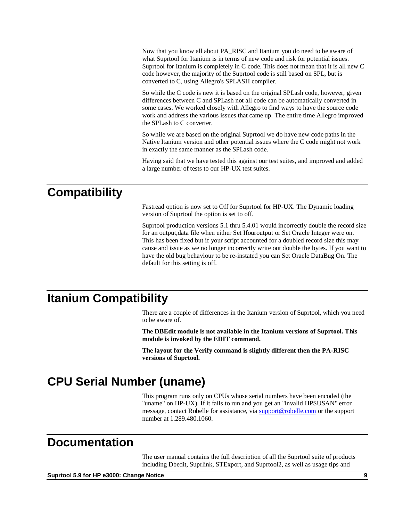Now that you know all about PA\_RISC and Itanium you do need to be aware of what Suprtool for Itanium is in terms of new code and risk for potential issues. Suprtool for Itanium is completely in C code. This does not mean that it is all new C code however, the majority of the Suprtool code is still based on SPL, but is converted to C, using Allegro's SPLASH compiler.

So while the C code is new it is based on the original SPLash code, however, given differences between C and SPLash not all code can be automatically converted in some cases. We worked closely with Allegro to find ways to have the source code work and address the various issues that came up. The entire time Allegro improved the SPLash to C converter.

So while we are based on the original Suprtool we do have new code paths in the Native Itanium version and other potential issues where the C code might not work in exactly the same manner as the SPLash code.

Having said that we have tested this against our test suites, and improved and added a large number of tests to our HP-UX test suites.

## **Compatibility**

Fastread option is now set to Off for Suprtool for HP-UX. The Dynamic loading version of Suprtool the option is set to off.

Suprtool production versions 5.1 thru 5.4.01 would incorrectly double the record size for an output,data file when either Set Ifouroutput or Set Oracle Integer were on. This has been fixed but if your script accounted for a doubled record size this may cause and issue as we no longer incorrectly write out double the bytes. If you want to have the old bug behaviour to be re-instated you can Set Oracle DataBug On. The default for this setting is off.

## **Itanium Compatibility**

There are a couple of differences in the Itanium version of Suprtool, which you need to be aware of.

**The DBEdit module is not available in the Itanium versions of Suprtool. This module is invoked by the EDIT command.**

**The layout for the Verify command is slightly different then the PA-RISC versions of Suprtool.**

## **CPU Serial Number (uname)**

This program runs only on CPUs whose serial numbers have been encoded (the "uname" on HP-UX). If it fails to run and you get an "invalid HPSUSAN" error message, contact Robelle for assistance, via **support@robelle.com** or the support number at 1.289.480.1060.

## **Documentation**

The user manual contains the full description of all the Suprtool suite of products including Dbedit, Suprlink, STExport, and Suprtool2, as well as usage tips and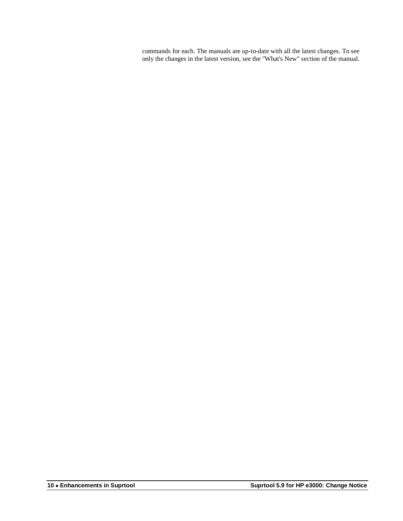commands for each. The manuals are up-to-date with all the latest changes. To see only the changes in the latest version, see the "What's New" section of the manual.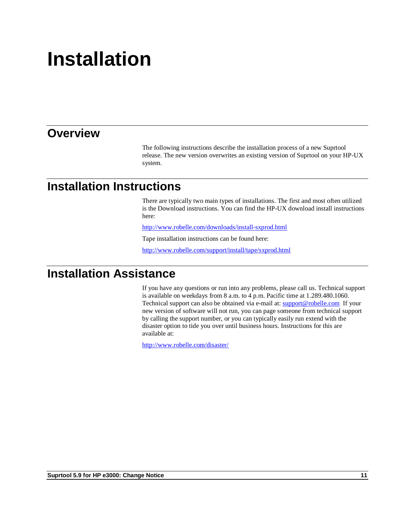# **Installation**

## **Overview**

The following instructions describe the installation process of a new Suprtool release. The new version overwrites an existing version of Suprtool on your HP-UX system.

## **Installation Instructions**

There are typically two main types of installations. The first and most often utilized is the Download instructions. You can find the HP-UX download install instructions here:

<http://www.robelle.com/downloads/install-sxprod.html>

Tape installation instructions can be found here:

http://www.robelle.com/support/install/tape/sxprod.html

## **Installation Assistance**

If you have any questions or run into any problems, please call us. Technical support is available on weekdays from 8 a.m. to 4 p.m. Pacific time at 1.289.480.1060. Technical support can also be obtained via e-mail at: [support@robelle.com](mailto:support@robelle.com) If your new version of software will not run, you can page someone from technical support by calling the support number, or you can typically easily run extend with the disaster option to tide you over until business hours. Instructions for this are available at:

<http://www.robelle.com/disaster/>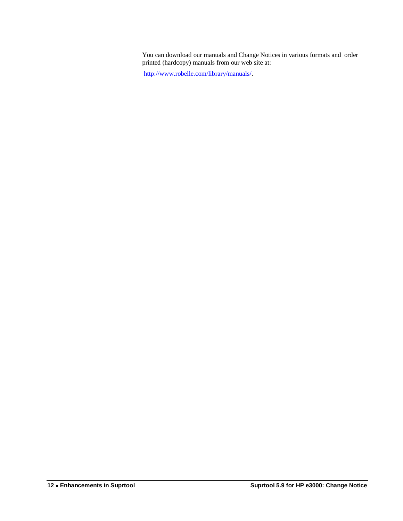You can download our manuals and Change Notices in various formats and order printed (hardcopy) manuals from our web site at:

[http://www.robelle.com/library/manuals/.](http://www.robelle.com/library/manuals/)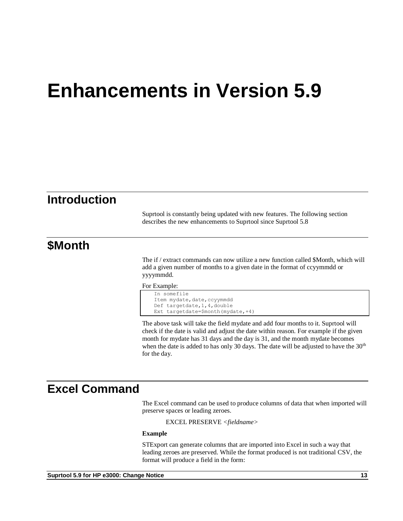## **Enhancements in Version 5.9**

## **Introduction**

Suprtool is constantly being updated with new features. The following section describes the new enhancements to Suprtool since Suprtool 5.8

## **\$Month**

The if / extract commands can now utilize a new function called \$Month, which will add a given number of months to a given date in the format of ccyymmdd or yyyymmdd.

For Example:

```
In somefile
Item mydate, date, ccyymmdd
Def targetdate,1,4,double
Ext targetdate=$month(mydate,+4)
```
The above task will take the field mydate and add four months to it. Suprtool will check if the date is valid and adjust the date within reason. For example if the given month for mydate has 31 days and the day is 31, and the month mydate becomes when the date is added to has only 30 days. The date will be adjusted to have the  $30<sup>th</sup>$ for the day.

## **Excel Command**

The Excel command can be used to produce columns of data that when imported will preserve spaces or leading zeroes.

EXCEL PRESERVE *<fieldname>*

#### **Example**

STExport can generate columns that are imported into Excel in such a way that leading zeroes are preserved. While the format produced is not traditional CSV, the format will produce a field in the form: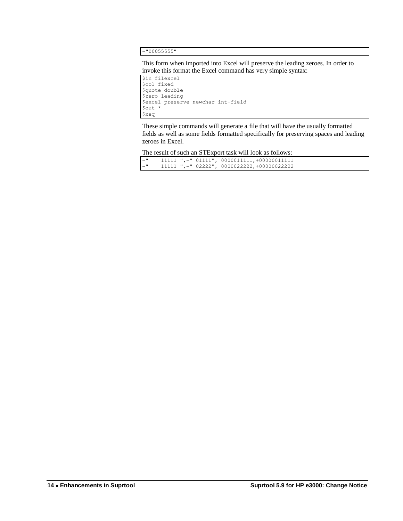="00055555"

This form when imported into Excel will preserve the leading zeroes. In order to invoke this format the Excel command has very simple syntax:

```
$in filexcel
$col fixed
$quote double
$zero leading
$excel preserve newchar int-field
$out *
$xeq
```
These simple commands will generate a file that will have the usually formatted fields as well as some fields formatted specifically for preserving spaces and leading zeroes in Excel.

The result of such an STExport task will look as follows:

| $=$ " |  | $11111$ ",=" $01111$ ", $0000011111$ ,+000000111111 |
|-------|--|-----------------------------------------------------|
| $=$ " |  | $11111$ ",=" 02222", 0000022222,+00000022222        |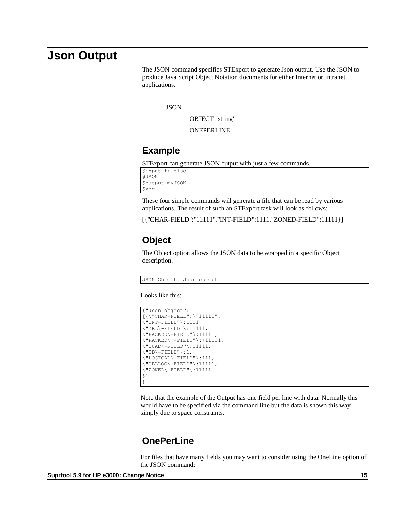### **Json Output**

The JSON command specifies STExport to generate Json output. Use the JSON to produce Java Script Object Notation documents for either Internet or Intranet applications.

**JSON** 

OBJECT "string"

ONEPERLINE

### **Example**

STExport can generate JSON output with just a few commands.

\$input file1sd \$JSON \$output myJSON \$xeq

These four simple commands will generate a file that can be read by various applications. The result of such an STExport task will look as follows:

[{"CHAR-FIELD":"11111","INT-FIELD":1111,"ZONED-FIELD":11111}]

### **Object**

The Object option allows the JSON data to be wrapped in a specific Object description.

JSON Object "Json object"

Looks like this:

```
{"Json object":
[{\"CHAR-FIELD":\"11111",
\Upsilon"INT-FIELD"\Upsilon:1111,
\Upsilon"DBL\Upsilon-FIELD"\Upsilon:11111,
\"PACKED\-FIELD"\:+1111,
\"PACKED\.-FIELD"\:+11111,
\"QUAD\-FIELD"\:11111,
\"ID\-FIELD"\:1,
\"LOGICAL\-FIELD"\:111,
\"DBLLOG\-FIELD"\:11111,
\"ZONED\-FIELD"\:11111
}]
}
```
Note that the example of the Output has one field per line with data. Normally this would have to be specified via the command line but the data is shown this way simply due to space constraints.

### **OnePerLine**

For files that have many fields you may want to consider using the OneLine option of the JSON command: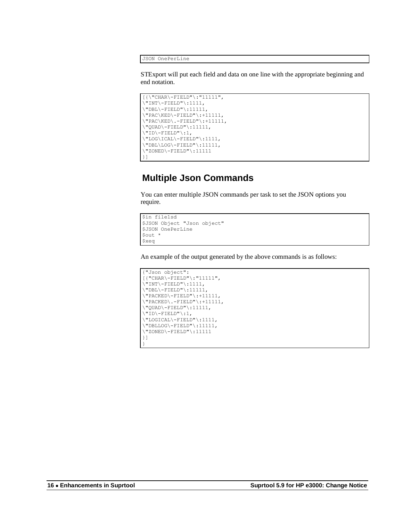JSON OnePerLine

STExport will put each field and data on one line with the appropriate beginning and end notation.

```
[\{\{\texttt{CHAR}\}-\texttt{FIELD"}\}: "11111",\vee"INT\vee-FIELD"\vee:1111,
\Upsilon"DBL\Upsilon-FIELD"\Upsilon:11111,
\Upsilon"PAC\KED\-FIELD":+11111,
\"PAC\KED\.-FIELD"\:+11111,
\Upsilon"QUAD\Upsilon-FIELD"\Upsilon:11111,
\"ID\-FIELD"\:1,
\"LOG\ICAL\-FIELD"\:1111,
\Upsilon"DBL\LOG\-FIELD"\:11111,
\"ZONED\-FIELD"\:11111
}]
```
### **Multiple Json Commands**

You can enter multiple JSON commands per task to set the JSON options you require.

```
$in file1sd
$JSON Object "Json object"
$JSON OnePerLine
$out *
$xeq
```
An example of the output generated by the above commands is as follows:

```
{"Json object":
[{"CHAR\-FIELD"\:"11111",
\"INT\-FIELD"\:1111,
\Upsilon"DBL\Upsilon-FIELD"\Upsilon:11111,
\"PACKED\-FIELD"\:+11111,
\Upsilon"PACKED\Upsilon.-FIELD"\Upsilon:+11111,
\"QUAD\-FIELD"\:11111,
\overline{\rangle}"ID\overline{\rangle}-FIELD"\overline{\rangle}:1,
\"LOGICAL\-FIELD"\:1111,
\"DBLLOG\-FIELD"\:11111,
\"ZONED\-FIELD"\:11111
}]
}
```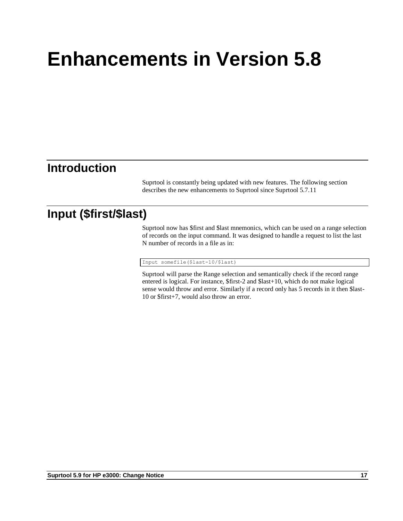# **Enhancements in Version 5.8**

## **Introduction**

Suprtool is constantly being updated with new features. The following section describes the new enhancements to Suprtool since Suprtool 5.7.11

## **Input (\$first/\$last)**

Suprtool now has \$first and \$last mnemonics, which can be used on a range selection of records on the input command. It was designed to handle a request to list the last N number of records in a file as in:

Input somefile(\$last-10/\$last)

Suprtool will parse the Range selection and semantically check if the record range entered is logical. For instance, \$first-2 and \$last+10, which do not make logical sense would throw and error. Similarly if a record only has 5 records in it then \$last-10 or \$first+7, would also throw an error.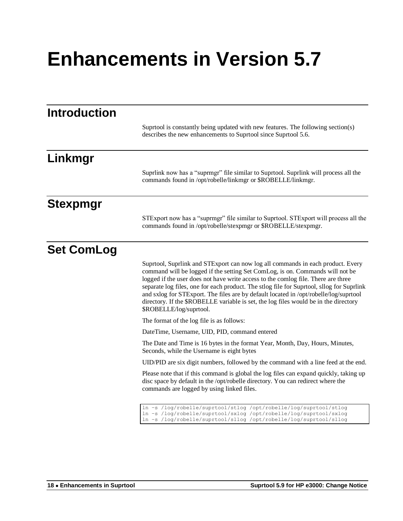# **Enhancements in Version 5.7**

| <b>Introduction</b> |                                                                                                                                                                                                                                                                                                                                                                                                                                                                                                                                                                |
|---------------------|----------------------------------------------------------------------------------------------------------------------------------------------------------------------------------------------------------------------------------------------------------------------------------------------------------------------------------------------------------------------------------------------------------------------------------------------------------------------------------------------------------------------------------------------------------------|
|                     | Suprtool is constantly being updated with new features. The following section(s)<br>describes the new enhancements to Suprtool since Suprtool 5.6.                                                                                                                                                                                                                                                                                                                                                                                                             |
| Linkmgr             |                                                                                                                                                                                                                                                                                                                                                                                                                                                                                                                                                                |
|                     | Suprlink now has a "suprmgr" file similar to Suprtool. Suprlink will process all the<br>commands found in /opt/robelle/linkmgr or \$ROBELLE/linkmgr.                                                                                                                                                                                                                                                                                                                                                                                                           |
| <b>Stexpmgr</b>     |                                                                                                                                                                                                                                                                                                                                                                                                                                                                                                                                                                |
|                     | STExport now has a "suprmgr" file similar to Suprtool. STExport will process all the<br>commands found in /opt/robelle/stexpmgr or \$ROBELLE/stexpmgr.                                                                                                                                                                                                                                                                                                                                                                                                         |
| <b>Set ComLog</b>   |                                                                                                                                                                                                                                                                                                                                                                                                                                                                                                                                                                |
|                     | Suprtool, Suprlink and STExport can now log all commands in each product. Every<br>command will be logged if the setting Set ComLog, is on. Commands will not be<br>logged if the user does not have write access to the comlog file. There are three<br>separate log files, one for each product. The stlog file for Suprtool, sllog for Suprlink<br>and sxlog for STExport. The files are by default located in /opt/robelle/log/suprtool<br>directory. If the \$ROBELLE variable is set, the log files would be in the directory<br>\$ROBELLE/log/suprtool. |
|                     | The format of the log file is as follows:                                                                                                                                                                                                                                                                                                                                                                                                                                                                                                                      |
|                     | DateTime, Username, UID, PID, command entered                                                                                                                                                                                                                                                                                                                                                                                                                                                                                                                  |
|                     | The Date and Time is 16 bytes in the format Year, Month, Day, Hours, Minutes,<br>Seconds, while the Username is eight bytes                                                                                                                                                                                                                                                                                                                                                                                                                                    |
|                     | UID/PID are six digit numbers, followed by the command with a line feed at the end.                                                                                                                                                                                                                                                                                                                                                                                                                                                                            |
|                     | Please note that if this command is global the log files can expand quickly, taking up<br>disc space by default in the /opt/robelle directory. You can redirect where the<br>commands are logged by using linked files.                                                                                                                                                                                                                                                                                                                                        |
|                     | ln -s /log/robelle/suprtool/stlog /opt/robelle/log/suprtool/stlog<br>ln -s /log/robelle/suprtool/sxlog /opt/robelle/log/suprtool/sxlog<br>ln -s /log/robelle/suprtool/sllog /opt/robelle/log/suprtool/sllog                                                                                                                                                                                                                                                                                                                                                    |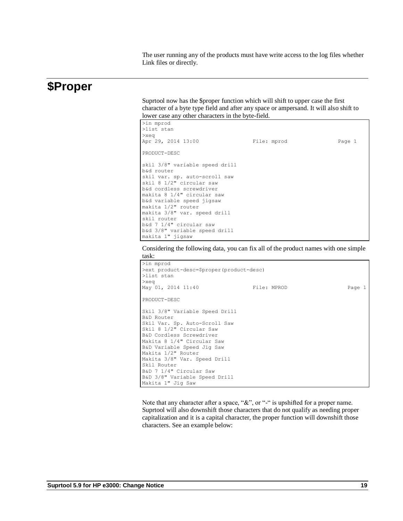The user running any of the products must have write access to the log files whether Link files or directly.

### **\$Proper**

Suprtool now has the \$proper function which will shift to upper case the first character of a byte type field and after any space or ampersand. It will also shift to lower case any other characters in the byte-field.

| >in mprod<br>>list stan                                                                                                                                                                                                                                |             |        |
|--------------------------------------------------------------------------------------------------------------------------------------------------------------------------------------------------------------------------------------------------------|-------------|--------|
| $>$ xeq                                                                                                                                                                                                                                                |             |        |
| Apr 29, 2014 13:00                                                                                                                                                                                                                                     | File: mprod | Page 1 |
| PRODUCT-DESC                                                                                                                                                                                                                                           |             |        |
| skil 3/8" variable speed drill<br>b&d router<br>skil var. sp. auto-scroll saw<br>skil 8 1/2" circular saw<br>b&d cordless screwdriver<br>makita 8 1/4" circular saw<br>b&d variable speed jigsaw<br>makita 1/2" router<br>makita 3/8" var. speed drill |             |        |
| skil router                                                                                                                                                                                                                                            |             |        |
| b&d 7 1/4" circular saw                                                                                                                                                                                                                                |             |        |
| b&d 3/8" variable speed drill                                                                                                                                                                                                                          |             |        |
| makita 1" jigsaw                                                                                                                                                                                                                                       |             |        |

Considering the following data, you can fix all of the product names with one simple task:



Note that any character after a space, "&", or "-" is upshifted for a proper name. Suprtool will also downshift those characters that do not qualify as needing proper capitalization and it is a capital character, the proper function will downshift those characters. See an example below: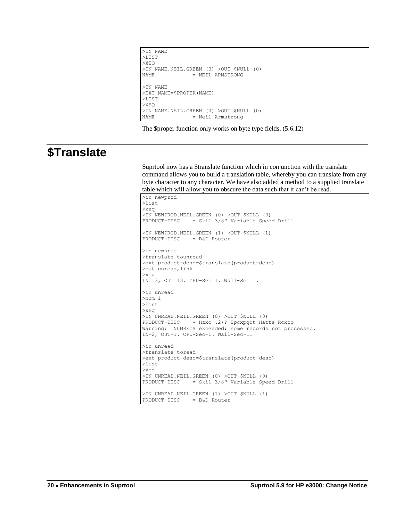```
>IN NAME
>LIST
>XEQ
>IN NAME.NEIL.GREEN (0) >OUT $NULL (0)<br>NAME = NEIL ARMSTRONG
                 = NEIL ARMSTRONG
>IN NAME
>EXT NAME=$PROPER(NAME)
>LIST
>XEQ
>IN NAME.NEIL.GREEN (0) >OUT $NULL (0)<br>NAME = Neil Armstrong
                  = Neil Armstrong
```
The \$proper function only works on byte type fields. (5.6.12)

## **\$Translate**

Suprtool now has a \$translate function which in conjunction with the translate command allows you to build a translation table, whereby you can translate from any byte character to any character. We have also added a method to a supplied translate table which will allow you to obscure the data such that it can't be read.

```
>in newprod
>list
>xeq
>IN NEWPROD.NEIL.GREEN (0) >OUT $NULL (0)
PRODUCT-DESC = Skil 3/8" Variable Speed Drill
>IN NEWPROD.NEIL.GREEN (1) >OUT $NULL (1)
PRODUCT-DESC = B&D Router
>in newprod
>translate tounread
>ext product-desc=$translate(product-desc)
>out unread,link
>xeq
IN=13, OUT=13. CPU-Sec=1. Wall-Sec=1.
>in unread
>num 1
>list
>xeq
>IN UNREAD.NEIL.GREEN (0) >OUT $NULL (0)
PRODUCT-DESC = Hzxo .2)? Epcxpqot Hatts Rcxoo
Warning: NUMRECS exceeded; some records not processed.
IN=2, OUT=1. CPU-Sec=1. Wall-Sec=1.
>in unread
>translate toread
>ext product-desc=$translate(product-desc)
>list
>xeq
>IN UNREAD.NEIL.GREEN (0) >OUT $NULL (0)
PRODUCT-DESC = Skil 3/8" Variable Speed Drill
>IN UNREAD.NEIL.GREEN (1) >OUT $NULL (1)
PRODUCT-DESC = B&D Router
```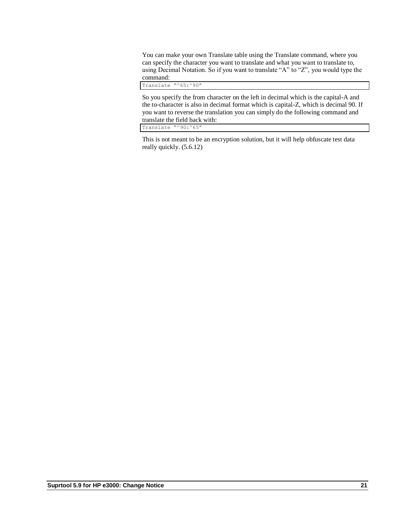You can make your own Translate table using the Translate command, where you can specify the character you want to translate and what you want to translate to, using Decimal Notation. So if you want to translate "A" to "Z", you would type the command:

Translate "^65:^90"

So you specify the from character on the left in decimal which is the capital-A and the to-character is also in decimal format which is capital-Z, which is decimal 90. If you want to reverse the translation you can simply do the following command and translate the field back with:

Translate "^90:^65"

This is not meant to be an encryption solution, but it will help obfuscate test data really quickly. (5.6.12)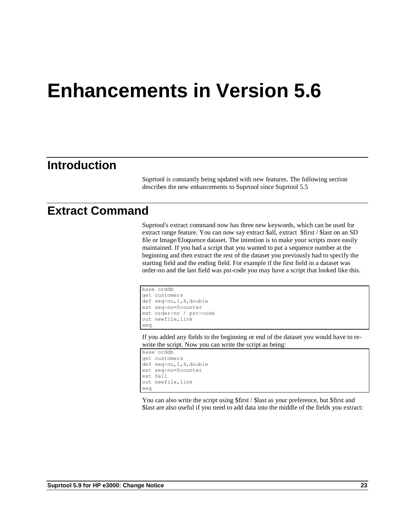# **Enhancements in Version 5.6**

## **Introduction**

Suprtool is constantly being updated with new features. The following section describes the new enhancements to Suprtool since Suprtool 5.5

### **Extract Command**

Suprtool's extract command now has three new keywords, which can be used for extract range feature. You can now say extract \$all, extract \$first / \$last on an SD file or Image/Eloquence dataset. The intention is to make your scripts more easily maintained. If you had a script that you wanted to put a sequence number at the beginning and then extract the rest of the dataset you previously had to specify the starting field and the ending field. For example if the first field in a dataset was order-no and the last field was pst-code you may have a script that looked like this.

```
base orddb
get customers
def seq-no,1,4,double
ext seq-no=$counter
ext order-no / pst-code
out newfile, link
xeq
```
If you added any fields to the beginning or end of the dataset you would have to rewrite the script. Now you can write the script as being:

```
base orddb
get customers
def seq-no,1,4,double
ext seq-no=$counter
ext $all
out newfile,link
xeq
```
You can also write the script using \$first / \$last as your preference, but \$first and \$last are also useful if you need to add data into the middle of the fields you extract: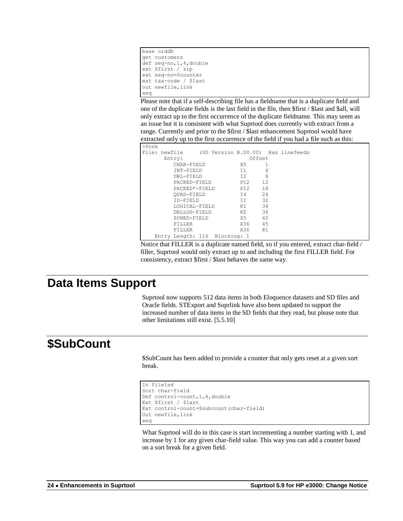```
base orddb
get customers
def seq-no,1,4,double
ext $first / zip
ext seq-no=$counter
ext tax-code / $last
out newfile,link
xeq
```
Please note that if a self-describing file has a fieldname that is a duplicate field and one of the duplicate fields is the last field in the file, then \$first / \$last and \$all, will only extract up to the first occurrence of the duplicate fieldname. This may seem as an issue but it is consistent with what Suprtool does currently with extract from a range. Currently and prior to the \$first / \$last enhancement Suprtool would have extracted only up to the first occurrence of the field if you had a file such as this:

| >form |                               |  |        |        |                                                  |
|-------|-------------------------------|--|--------|--------|--------------------------------------------------|
|       |                               |  |        |        | File: newfile (SD Version B.00.00) Has linefeeds |
|       | Entry:                        |  |        | Offset |                                                  |
|       | CHAR-FIELD                    |  | X5 -   |        |                                                  |
|       | INT-FIELD                     |  | T1     | 6      |                                                  |
|       | DBL-FIELD                     |  | T 2.   | 8      |                                                  |
|       | PACKED-FIELD                  |  | P12 12 |        |                                                  |
|       | PACKED*-FIELD                 |  |        | P12 18 |                                                  |
|       | OUAD-FIELD                    |  | T4     | 2.4    |                                                  |
|       | TD-FTELD                      |  | T1     | 32     |                                                  |
|       | LOGICAL-FIELD                 |  | K1 - 1 | 34     |                                                  |
|       | DBLLOG-FIELD                  |  | K2 - 1 | 36     |                                                  |
|       | ZONED-FIELD                   |  | Z5 a   | 40     |                                                  |
|       | FILLER                        |  |        | X36 45 |                                                  |
|       | FILLER                        |  | X36 -  | 81     |                                                  |
|       | Entry Length: 116 Blocking: 1 |  |        |        |                                                  |

Notice that FILLER is a duplicate named field, so if you entered, extract char-field / filler, Suprtool would only extract up to and including the first FILLER field. For consistency, extract \$first / \$last behaves the same way.

## **Data Items Support**

Suprtool now supports 512 data items in both Eloquence datasets and SD files and Oracle fields. STExport and Suprlink have also been updated to support the increased number of data items in the SD fields that they read, but please note that other limitations still exist. [5.5.10]

## **\$SubCount**

\$SubCount has been added to provide a counter that only gets reset at a given sort break.

```
In file1sd
Sort char-field
Def control-count,1,4,double
Ext $first / $last
Ext control-count=$subcount(char-field)
Out newfile,link
xeq
```
What Suprtool will do in this case is start incrementing a number starting with 1, and increase by 1 for any given char-field value. This way you can add a counter based on a sort break for a given field.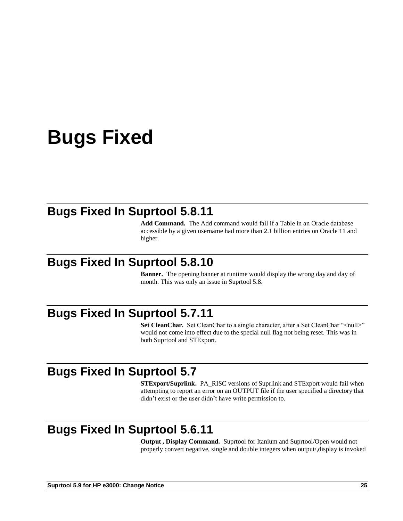# **Bugs Fixed**

## **Bugs Fixed In Suprtool 5.8.11**

**Add Command.** The Add command would fail if a Table in an Oracle database accessible by a given username had more than 2.1 billion entries on Oracle 11 and higher.

## **Bugs Fixed In Suprtool 5.8.10**

**Banner.** The opening banner at runtime would display the wrong day and day of month. This was only an issue in Suprtool 5.8.

## **Bugs Fixed In Suprtool 5.7.11**

**Set CleanChar.** Set CleanChar to a single character, after a Set CleanChar "<null>" would not come into effect due to the special null flag not being reset. This was in both Suprtool and STExport.

## **Bugs Fixed In Suprtool 5.7**

**STExport/Suprlink.** PA\_RISC versions of Suprlink and STExport would fail when attempting to report an error on an OUTPUT file if the user specified a directory that didn't exist or the user didn't have write permission to.

## **Bugs Fixed In Suprtool 5.6.11**

**Output , Display Command.** Suprtool for Itanium and Suprtool/Open would not properly convert negative, single and double integers when output/,display is invoked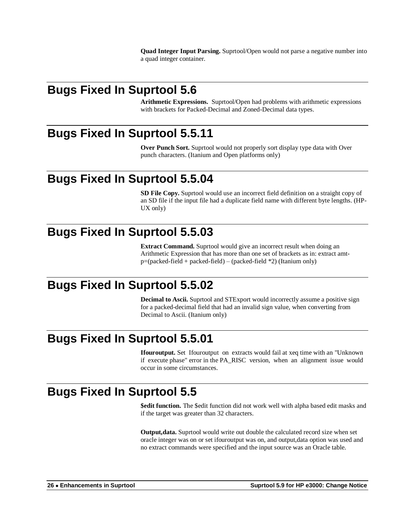**Quad Integer Input Parsing.** Suprtool/Open would not parse a negative number into a quad integer container.

## **Bugs Fixed In Suprtool 5.6**

**Arithmetic Expressions.** Suprtool/Open had problems with arithmetic expressions with brackets for Packed-Decimal and Zoned-Decimal data types.

## **Bugs Fixed In Suprtool 5.5.11**

**Over Punch Sort.** Suprtool would not properly sort display type data with Over punch characters. (Itanium and Open platforms only)

## **Bugs Fixed In Suprtool 5.5.04**

**SD File Copy.** Suprtool would use an incorrect field definition on a straight copy of an SD file if the input file had a duplicate field name with different byte lengths. (HP-UX only)

## **Bugs Fixed In Suprtool 5.5.03**

**Extract Command.** Suprtool would give an incorrect result when doing an Arithmetic Expression that has more than one set of brackets as in: extract amtp=(packed-field + packed-field) – (packed-field \*2) (Itanium only)

## **Bugs Fixed In Suprtool 5.5.02**

**Decimal to Ascii.** Suprtool and STExport would incorrectly assume a positive sign for a packed-decimal field that had an invalid sign value, when converting from Decimal to Ascii. (Itanium only)

## **Bugs Fixed In Suprtool 5.5.01**

**Ifouroutput.** Set Ifouroutput on extracts would fail at xeq time with an "Unknown if execute phase" error in the PA\_RISC version, when an alignment issue would occur in some circumstances.

## **Bugs Fixed In Suprtool 5.5**

**\$edit function.** The \$edit function did not work well with alpha based edit masks and if the target was greater than 32 characters.

**Output,data.** Suprtool would write out double the calculated record size when set oracle integer was on or set ifouroutput was on, and output,data option was used and no extract commands were specified and the input source was an Oracle table.